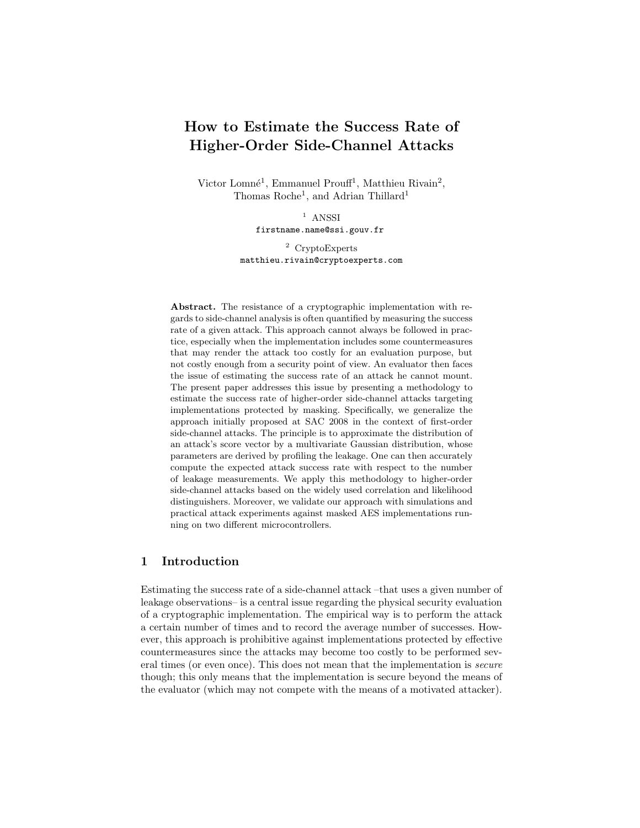# How to Estimate the Success Rate of Higher-Order Side-Channel Attacks

Victor Lomné<sup>1</sup>, Emmanuel Prouff<sup>1</sup>, Matthieu Rivain<sup>2</sup>, Thomas Roche<sup>1</sup>, and Adrian Thillard<sup>1</sup>

> $1$  ANSSI firstname.name@ssi.gouv.fr

<sup>2</sup> CryptoExperts matthieu.rivain@cryptoexperts.com

Abstract. The resistance of a cryptographic implementation with regards to side-channel analysis is often quantified by measuring the success rate of a given attack. This approach cannot always be followed in practice, especially when the implementation includes some countermeasures that may render the attack too costly for an evaluation purpose, but not costly enough from a security point of view. An evaluator then faces the issue of estimating the success rate of an attack he cannot mount. The present paper addresses this issue by presenting a methodology to estimate the success rate of higher-order side-channel attacks targeting implementations protected by masking. Specifically, we generalize the approach initially proposed at SAC 2008 in the context of first-order side-channel attacks. The principle is to approximate the distribution of an attack's score vector by a multivariate Gaussian distribution, whose parameters are derived by profiling the leakage. One can then accurately compute the expected attack success rate with respect to the number of leakage measurements. We apply this methodology to higher-order side-channel attacks based on the widely used correlation and likelihood distinguishers. Moreover, we validate our approach with simulations and practical attack experiments against masked AES implementations running on two different microcontrollers.

# 1 Introduction

Estimating the success rate of a side-channel attack –that uses a given number of leakage observations– is a central issue regarding the physical security evaluation of a cryptographic implementation. The empirical way is to perform the attack a certain number of times and to record the average number of successes. However, this approach is prohibitive against implementations protected by effective countermeasures since the attacks may become too costly to be performed several times (or even once). This does not mean that the implementation is secure though; this only means that the implementation is secure beyond the means of the evaluator (which may not compete with the means of a motivated attacker).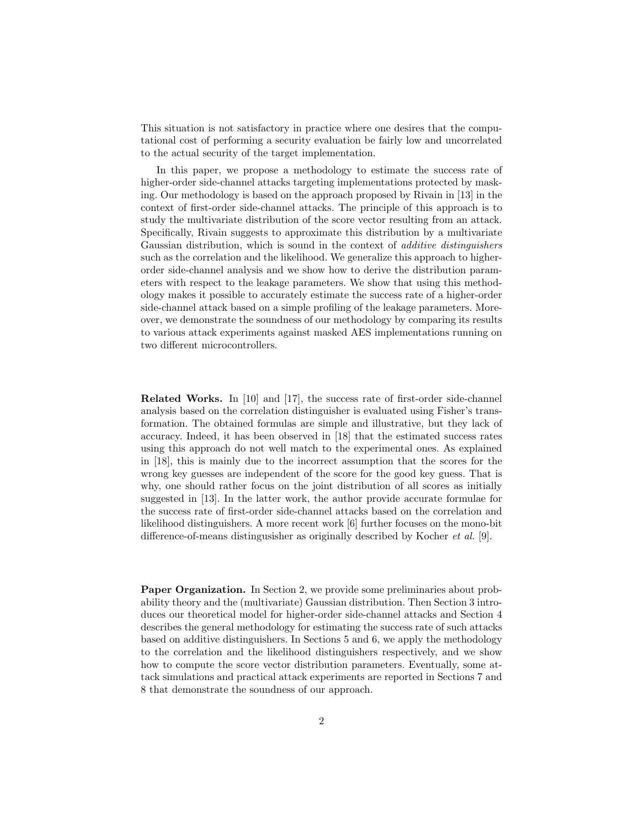This situation is not satisfactory in practice where one desires that the computational cost of performing a security evaluation be fairly low and uncorrelated to the actual security of the target implementation.

In this paper, we propose a methodology to estimate the success rate of higher-order side-channel attacks targeting implementations protected by masking. Our methodology is based on the approach proposed by Rivain in [13] in the context of first-order side-channel attacks. The principle of this approach is to study the multivariate distribution of the score vector resulting from an attack. Specifically, Rivain suggests to approximate this distribution by a multivariate Gaussian distribution, which is sound in the context of additive distinguishers such as the correlation and the likelihood. We generalize this approach to higherorder side-channel analysis and we show how to derive the distribution parameters with respect to the leakage parameters. We show that using this methodology makes it possible to accurately estimate the success rate of a higher-order side-channel attack based on a simple profiling of the leakage parameters. Moreover, we demonstrate the soundness of our methodology by comparing its results to various attack experiments against masked AES implementations running on two different microcontrollers.

Related Works. In [10] and [17], the success rate of first-order side-channel analysis based on the correlation distinguisher is evaluated using Fisher's transformation. The obtained formulas are simple and illustrative, but they lack of accuracy. Indeed, it has been observed in [18] that the estimated success rates using this approach do not well match to the experimental ones. As explained in [18], this is mainly due to the incorrect assumption that the scores for the wrong key guesses are independent of the score for the good key guess. That is why, one should rather focus on the joint distribution of all scores as initially suggested in [13]. In the latter work, the author provide accurate formulae for the success rate of first-order side-channel attacks based on the correlation and likelihood distinguishers. A more recent work [6] further focuses on the mono-bit difference-of-means distingusisher as originally described by Kocher et al. [9].

Paper Organization. In Section 2, we provide some preliminaries about probability theory and the (multivariate) Gaussian distribution. Then Section 3 introduces our theoretical model for higher-order side-channel attacks and Section 4 describes the general methodology for estimating the success rate of such attacks based on additive distinguishers. In Sections 5 and 6, we apply the methodology to the correlation and the likelihood distinguishers respectively, and we show how to compute the score vector distribution parameters. Eventually, some attack simulations and practical attack experiments are reported in Sections 7 and 8 that demonstrate the soundness of our approach.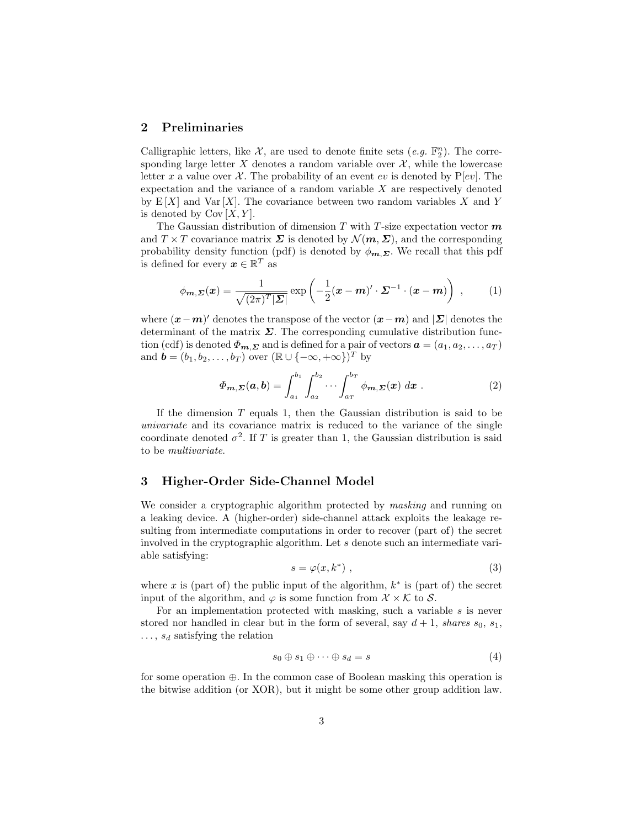# 2 Preliminaries

Calligraphic letters, like  $\mathcal{X}$ , are used to denote finite sets  $(e.g. \mathbb{F}_2^n)$ . The corresponding large letter X denotes a random variable over  $\mathcal{X}$ , while the lowercase letter x a value over X. The probability of an event ev is denoted by  $P[ev]$ . The expectation and the variance of a random variable  $X$  are respectively denoted by  $E[X]$  and  $Var[X]$ . The covariance between two random variables X and Y is denoted by  $Cov [X, Y]$ .

The Gaussian distribution of dimension T with T-size expectation vector  $m$ and  $T \times T$  covariance matrix  $\Sigma$  is denoted by  $\mathcal{N}(m, \Sigma)$ , and the corresponding probability density function (pdf) is denoted by  $\phi_{m,\Sigma}$ . We recall that this pdf is defined for every  $\boldsymbol{x} \in \mathbb{R}^T$  as

$$
\phi_{\mathbf{m},\Sigma}(\mathbf{x}) = \frac{1}{\sqrt{(2\pi)^T |\Sigma|}} \exp\left(-\frac{1}{2}(\mathbf{x}-\mathbf{m})' \cdot \Sigma^{-1} \cdot (\mathbf{x}-\mathbf{m})\right) ,\qquad (1)
$$

where  $(x-m)'$  denotes the transpose of the vector  $(x-m)$  and  $|\Sigma|$  denotes the determinant of the matrix  $\Sigma$ . The corresponding cumulative distribution function (cdf) is denoted  $\Phi_{m,\Sigma}$  and is defined for a pair of vectors  $\boldsymbol{a} = (a_1, a_2, \dots, a_T)$ and  $\mathbf{b} = (b_1, b_2, \dots, b_T)$  over  $(\mathbb{R} \cup \{-\infty, +\infty\})^T$  by

$$
\Phi_{m,\Sigma}(a,b) = \int_{a_1}^{b_1} \int_{a_2}^{b_2} \cdots \int_{a_T}^{b_T} \phi_{m,\Sigma}(x) dx . \qquad (2)
$$

If the dimension  $T$  equals 1, then the Gaussian distribution is said to be univariate and its covariance matrix is reduced to the variance of the single coordinate denoted  $\sigma^2$ . If T is greater than 1, the Gaussian distribution is said to be multivariate.

# 3 Higher-Order Side-Channel Model

We consider a cryptographic algorithm protected by *masking* and running on a leaking device. A (higher-order) side-channel attack exploits the leakage resulting from intermediate computations in order to recover (part of) the secret involved in the cryptographic algorithm. Let s denote such an intermediate variable satisfying:

$$
s = \varphi(x, k^*) \tag{3}
$$

where x is (part of) the public input of the algorithm,  $k^*$  is (part of) the secret input of the algorithm, and  $\varphi$  is some function from  $\mathcal{X} \times \mathcal{K}$  to  $\mathcal{S}$ .

For an implementation protected with masking, such a variable  $s$  is never stored nor handled in clear but in the form of several, say  $d+1$ , shares  $s_0$ ,  $s_1$ ,  $\ldots$ ,  $s_d$  satisfying the relation

$$
s_0 \oplus s_1 \oplus \cdots \oplus s_d = s \tag{4}
$$

for some operation ⊕. In the common case of Boolean masking this operation is the bitwise addition (or XOR), but it might be some other group addition law.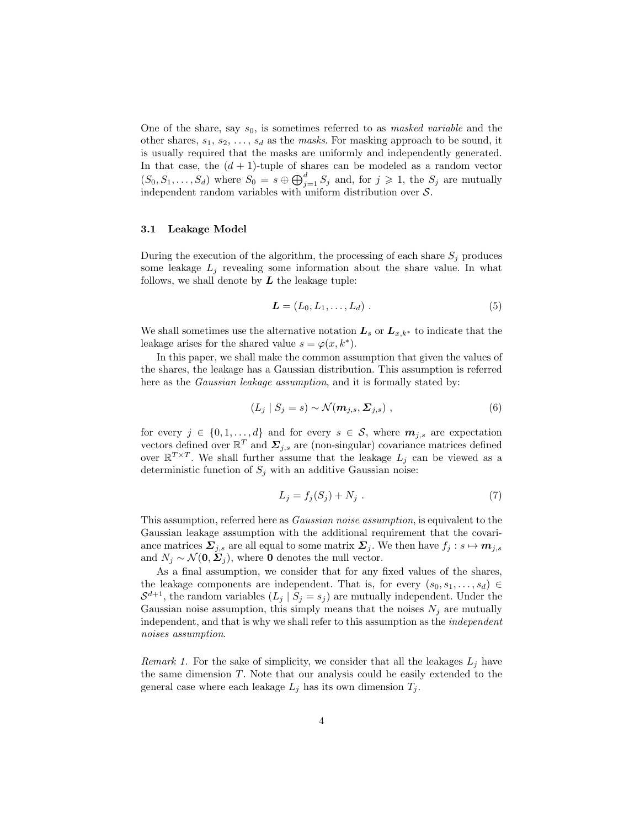One of the share, say  $s_0$ , is sometimes referred to as *masked variable* and the other shares,  $s_1, s_2, \ldots, s_d$  as the masks. For masking approach to be sound, it is usually required that the masks are uniformly and independently generated. In that case, the  $(d + 1)$ -tuple of shares can be modeled as a random vector  $(S_0, S_1, \ldots, S_d)$  where  $S_0 = s \oplus \bigoplus_{j=1}^d S_j$  and, for  $j \geq 1$ , the  $S_j$  are mutually independent random variables with uniform distribution over  $S$ .

#### 3.1 Leakage Model

During the execution of the algorithm, the processing of each share  $S_i$  produces some leakage  $L_j$  revealing some information about the share value. In what follows, we shall denote by  $L$  the leakage tuple:

$$
\mathbf{L} = (L_0, L_1, \dots, L_d) \tag{5}
$$

We shall sometimes use the alternative notation  $L_s$  or  $L_{x,k^*}$  to indicate that the leakage arises for the shared value  $s = \varphi(x, k^*)$ .

In this paper, we shall make the common assumption that given the values of the shares, the leakage has a Gaussian distribution. This assumption is referred here as the *Gaussian leakage assumption*, and it is formally stated by:

$$
(L_j \mid S_j = s) \sim \mathcal{N}(m_{j,s}, \Sigma_{j,s}) \tag{6}
$$

for every  $j \in \{0, 1, ..., d\}$  and for every  $s \in \mathcal{S}$ , where  $m_{j,s}$  are expectation vectors defined over  $\mathbb{R}^T$  and  $\mathbf{\Sigma}_{j,s}$  are (non-singular) covariance matrices defined over  $\mathbb{R}^{T\times T}$ . We shall further assume that the leakage  $L_j$  can be viewed as a deterministic function of  $S_j$  with an additive Gaussian noise:

$$
L_j = f_j(S_j) + N_j \tag{7}
$$

This assumption, referred here as Gaussian noise assumption, is equivalent to the Gaussian leakage assumption with the additional requirement that the covariance matrices  $\Sigma_{j,s}$  are all equal to some matrix  $\Sigma_j$ . We then have  $f_j : s \mapsto m_{j,s}$ and  $N_i \sim \mathcal{N}(\mathbf{0}, \Sigma_i)$ , where **0** denotes the null vector.

As a final assumption, we consider that for any fixed values of the shares, the leakage components are independent. That is, for every  $(s_0, s_1, \ldots, s_d)$  $S^{d+1}$ , the random variables  $(L_j | S_j = s_j)$  are mutually independent. Under the Gaussian noise assumption, this simply means that the noises  $N_j$  are mutually independent, and that is why we shall refer to this assumption as the independent noises assumption.

*Remark 1.* For the sake of simplicity, we consider that all the leakages  $L_j$  have the same dimension T. Note that our analysis could be easily extended to the general case where each leakage  $L_j$  has its own dimension  $T_j$ .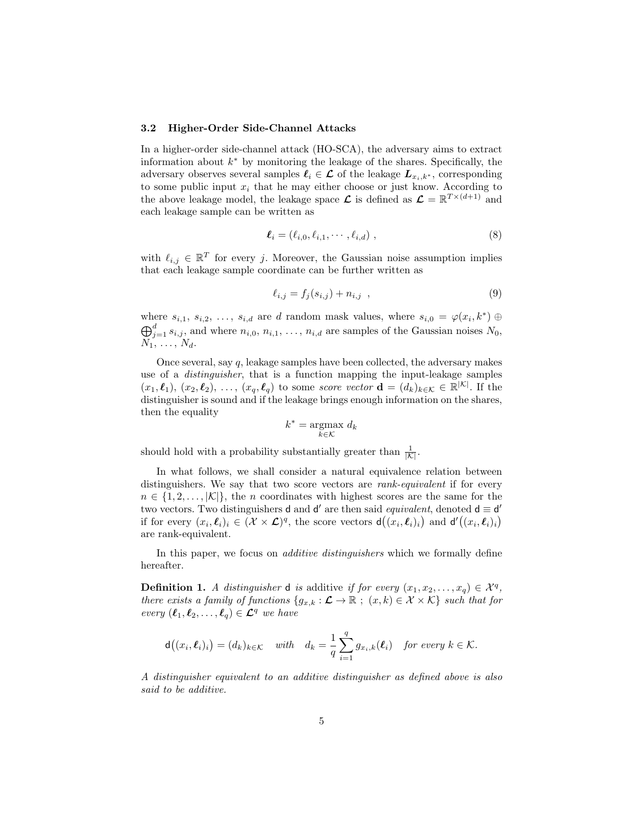#### 3.2 Higher-Order Side-Channel Attacks

In a higher-order side-channel attack (HO-SCA), the adversary aims to extract information about  $k^*$  by monitoring the leakage of the shares. Specifically, the adversary observes several samples  $\ell_i \in \mathcal{L}$  of the leakage  $L_{x_i,k^*}$ , corresponding to some public input  $x_i$  that he may either choose or just know. According to the above leakage model, the leakage space  $\mathcal L$  is defined as  $\mathcal L = \mathbb R^{T \times (d+1)}$  and each leakage sample can be written as

$$
\ell_i = (\ell_{i,0}, \ell_{i,1}, \cdots, \ell_{i,d}), \qquad (8)
$$

with  $\ell_{i,j} \in \mathbb{R}^T$  for every j. Moreover, the Gaussian noise assumption implies that each leakage sample coordinate can be further written as

$$
\ell_{i,j} = f_j(s_{i,j}) + n_{i,j} \t{,} \t(9)
$$

where  $s_{i,1}, s_{i,2}, \ldots, s_{i,d}$  are d random mask values, where  $s_{i,0} = \varphi(x_i, k^*) \oplus$  $\bigoplus_{j=1}^d s_{i,j}$ , and where  $n_{i,0}, n_{i,1}, \ldots, n_{i,d}$  are samples of the Gaussian noises  $N_0$ ,  $N_1, \ldots, N_d.$ 

Once several, say q, leakage samples have been collected, the adversary makes use of a distinguisher, that is a function mapping the input-leakage samples  $(x_1, \ell_1), (x_2, \ell_2), \ldots, (x_q, \ell_q)$  to some score vector  $\mathbf{d} = (d_k)_{k \in \mathcal{K}} \in \mathbb{R}^{|\mathcal{K}|}$ . If the distinguisher is sound and if the leakage brings enough information on the shares, then the equality

$$
k^* = \underset{k \in \mathcal{K}}{\operatorname{argmax}} \ d_k
$$

should hold with a probability substantially greater than  $\frac{1}{|\mathcal{K}|}$ .

In what follows, we shall consider a natural equivalence relation between distinguishers. We say that two score vectors are *rank-equivalent* if for every  $n \in \{1, 2, \ldots, |\mathcal{K}|\}$ , the *n* coordinates with highest scores are the same for the two vectors. Two distinguishers **d** and **d'** are then said *equivalent*, denoted **d**  $\equiv$  **d'** if for every  $(x_i, \ell_i)_i \in (\mathcal{X} \times \mathcal{L})^q$ , the score vectors  $d((x_i, \ell_i)_i)$  and  $d'((x_i, \ell_i)_i)$ are rank-equivalent.

In this paper, we focus on *additive distinguishers* which we formally define hereafter.

**Definition 1.** A distinguisher **d** is additive if for every  $(x_1, x_2, \ldots, x_q) \in \mathcal{X}^q$ , there exists a family of functions  $\{g_{x,k}:\mathcal{L}\to\mathbb{R}$ ;  $(x,k)\in\mathcal{X}\times\mathcal{K}\}$  such that for every  $(\ell_1, \ell_2, \ldots, \ell_q) \in \mathcal{L}^q$  we have

$$
\mathsf{d}\big((x_i,\boldsymbol{\ell}_i)_i\big)=(d_k)_{k\in\mathcal{K}}\quad\text{with}\quad d_k=\frac{1}{q}\sum_{i=1}^q g_{x_i,k}(\boldsymbol{\ell}_i)\quad\text{for every }k\in\mathcal{K}.
$$

A distinguisher equivalent to an additive distinguisher as defined above is also said to be additive.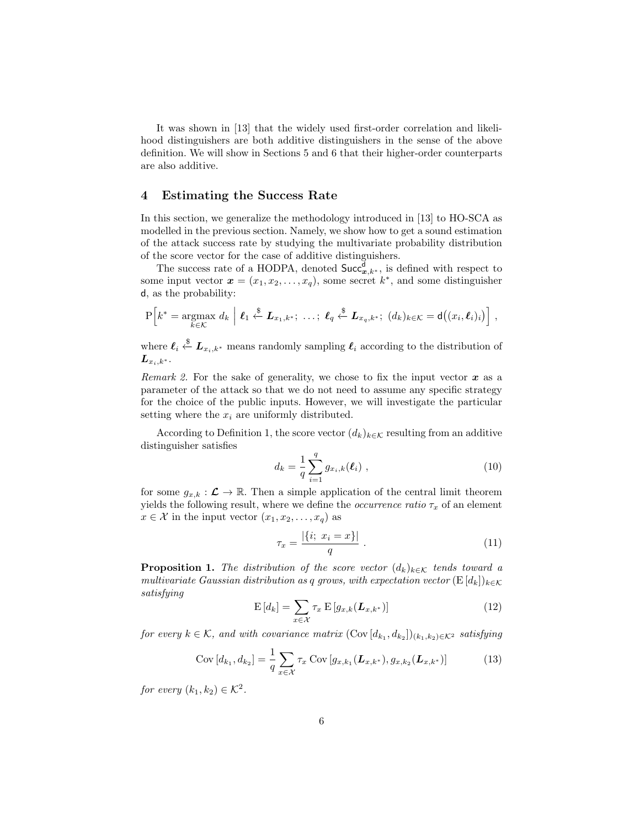It was shown in [13] that the widely used first-order correlation and likelihood distinguishers are both additive distinguishers in the sense of the above definition. We will show in Sections 5 and 6 that their higher-order counterparts are also additive.

# 4 Estimating the Success Rate

In this section, we generalize the methodology introduced in [13] to HO-SCA as modelled in the previous section. Namely, we show how to get a sound estimation of the attack success rate by studying the multivariate probability distribution of the score vector for the case of additive distinguishers.

The success rate of a HODPA, denoted  $Succ_{x,k^*}^{\mathbf{d}},$  is defined with respect to some input vector  $\mathbf{x} = (x_1, x_2, \dots, x_q)$ , some secret  $k^*$ , and some distinguisher d, as the probability:

$$
P\Big[k^* = \underset{k \in \mathcal{K}}{\operatorname{argmax}} d_k \Big| \ell_1 \stackrel{\$}{\leftarrow} \mathbf{L}_{x_1,k^*}; \ \ldots; \ \ell_q \stackrel{\$}{\leftarrow} \mathbf{L}_{x_q,k^*}; \ (d_k)_{k \in \mathcal{K}} = \mathsf{d}((x_i,\ell_i)_i) \Big],
$$

where  $\ell_i \overset{\$}{\leftarrow} \mathbf{L}_{x_i,k^*}$  means randomly sampling  $\ell_i$  according to the distribution of  $\boldsymbol{L}_{x_i,k^*}.$ 

Remark 2. For the sake of generality, we chose to fix the input vector  $x$  as a parameter of the attack so that we do not need to assume any specific strategy for the choice of the public inputs. However, we will investigate the particular setting where the  $x_i$  are uniformly distributed.

According to Definition 1, the score vector  $(d_k)_{k \in \mathcal{K}}$  resulting from an additive distinguisher satisfies

$$
d_k = \frac{1}{q} \sum_{i=1}^{q} g_{x_i,k}(\ell_i) , \qquad (10)
$$

for some  $g_{x,k} : \mathcal{L} \to \mathbb{R}$ . Then a simple application of the central limit theorem yields the following result, where we define the *occurrence ratio*  $\tau_x$  of an element  $x \in \mathcal{X}$  in the input vector  $(x_1, x_2, \ldots, x_q)$  as

$$
\tau_x = \frac{|\{i; \ x_i = x\}|}{q} \ . \tag{11}
$$

**Proposition 1.** The distribution of the score vector  $(d_k)_{k \in \mathcal{K}}$  tends toward a multivariate Gaussian distribution as q grows, with expectation vector  $(E[d_k])_{k \in K}$ satisfying

$$
\mathcal{E}\left[d_k\right] = \sum_{x \in \mathcal{X}} \tau_x \mathcal{E}\left[g_{x,k}(\boldsymbol{L}_{x,k^*})\right]
$$
\n(12)

for every  $k \in \mathcal{K}$ , and with covariance matrix  $(\text{Cov}[d_{k_1}, d_{k_2}])_{(k_1,k_2) \in \mathcal{K}^2}$  satisfying

$$
Cov[d_{k_1}, d_{k_2}] = \frac{1}{q} \sum_{x \in \mathcal{X}} \tau_x \ Cov[g_{x, k_1}(\mathbf{L}_{x, k^*}), g_{x, k_2}(\mathbf{L}_{x, k^*})]
$$
(13)

for every  $(k_1, k_2) \in \mathcal{K}^2$ .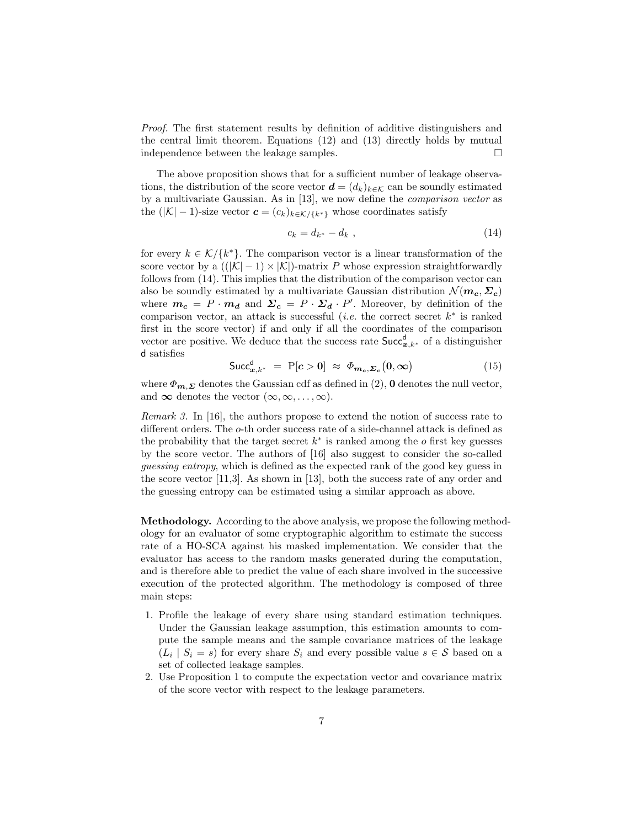Proof. The first statement results by definition of additive distinguishers and the central limit theorem. Equations (12) and (13) directly holds by mutual independence between the leakage samples.

The above proposition shows that for a sufficient number of leakage observations, the distribution of the score vector  $\mathbf{d} = (d_k)_{k \in \mathcal{K}}$  can be soundly estimated by a multivariate Gaussian. As in [13], we now define the comparison vector as the  $(|\mathcal{K}| - 1)$ -size vector  $\mathbf{c} = (c_k)_{k \in \mathcal{K}}/ \{k^*\}\)$  whose coordinates satisfy

$$
c_k = d_{k^*} - d_k \t\t(14)
$$

for every  $k \in \mathcal{K}/\{k^*\}$ . The comparison vector is a linear transformation of the score vector by a  $((|K|-1) \times |K|)$ -matrix P whose expression straightforwardly follows from (14). This implies that the distribution of the comparison vector can also be soundly estimated by a multivariate Gaussian distribution  $\mathcal{N}(m_c, \Sigma_c)$ where  $m_c = P \cdot m_d$  and  $\Sigma_c = P \cdot \Sigma_d \cdot P'$ . Moreover, by definition of the comparison vector, an attack is successful (*i.e.* the correct secret  $k^*$  is ranked first in the score vector) if and only if all the coordinates of the comparison vector are positive. We deduce that the success rate  $Succ_{x,k^*}^d$  of a distinguisher d satisfies

$$
\text{Succ}_{\boldsymbol{x},k^*}^{\mathsf{d}} = \text{P}[\boldsymbol{c} > \boldsymbol{0}] \approx \boldsymbol{\Phi}_{\boldsymbol{m}_{\boldsymbol{c}},\boldsymbol{\Sigma}_{\boldsymbol{c}}}(\boldsymbol{0},\boldsymbol{\infty}) \tag{15}
$$

where  $\Phi_{m,\Sigma}$  denotes the Gaussian cdf as defined in (2), 0 denotes the null vector, and  $\infty$  denotes the vector  $(\infty, \infty, \ldots, \infty)$ .

Remark 3. In [16], the authors propose to extend the notion of success rate to different orders. The o-th order success rate of a side-channel attack is defined as the probability that the target secret  $k^*$  is ranked among the  $o$  first key guesses by the score vector. The authors of [16] also suggest to consider the so-called guessing entropy, which is defined as the expected rank of the good key guess in the score vector [11,3]. As shown in [13], both the success rate of any order and the guessing entropy can be estimated using a similar approach as above.

Methodology. According to the above analysis, we propose the following methodology for an evaluator of some cryptographic algorithm to estimate the success rate of a HO-SCA against his masked implementation. We consider that the evaluator has access to the random masks generated during the computation, and is therefore able to predict the value of each share involved in the successive execution of the protected algorithm. The methodology is composed of three main steps:

- 1. Profile the leakage of every share using standard estimation techniques. Under the Gaussian leakage assumption, this estimation amounts to compute the sample means and the sample covariance matrices of the leakage  $(L_i | S_i = s)$  for every share  $S_i$  and every possible value  $s \in S$  based on a set of collected leakage samples.
- 2. Use Proposition 1 to compute the expectation vector and covariance matrix of the score vector with respect to the leakage parameters.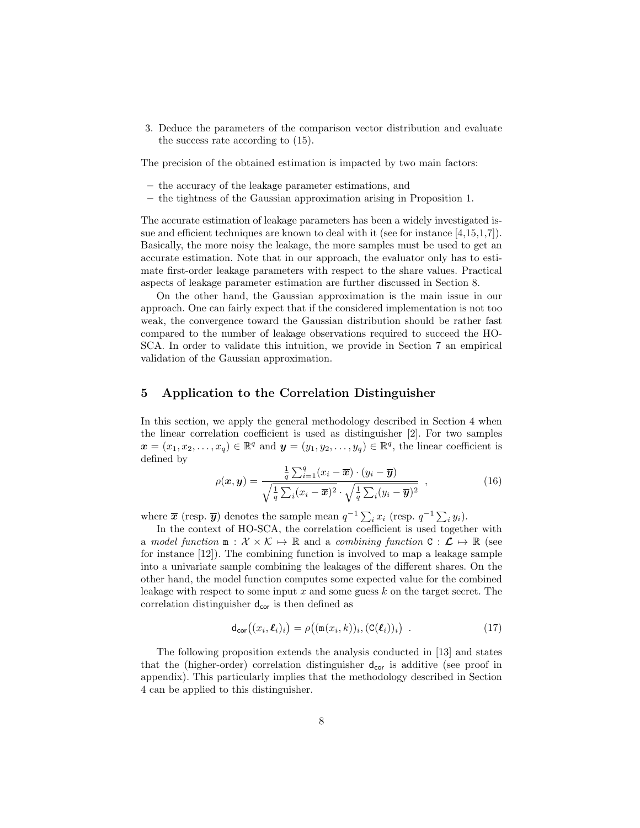3. Deduce the parameters of the comparison vector distribution and evaluate the success rate according to (15).

The precision of the obtained estimation is impacted by two main factors:

- the accuracy of the leakage parameter estimations, and
- the tightness of the Gaussian approximation arising in Proposition 1.

The accurate estimation of leakage parameters has been a widely investigated issue and efficient techniques are known to deal with it (see for instance [4,15,1,7]). Basically, the more noisy the leakage, the more samples must be used to get an accurate estimation. Note that in our approach, the evaluator only has to estimate first-order leakage parameters with respect to the share values. Practical aspects of leakage parameter estimation are further discussed in Section 8.

On the other hand, the Gaussian approximation is the main issue in our approach. One can fairly expect that if the considered implementation is not too weak, the convergence toward the Gaussian distribution should be rather fast compared to the number of leakage observations required to succeed the HO-SCA. In order to validate this intuition, we provide in Section 7 an empirical validation of the Gaussian approximation.

#### 5 Application to the Correlation Distinguisher

In this section, we apply the general methodology described in Section 4 when the linear correlation coefficient is used as distinguisher [2]. For two samples  $\boldsymbol{x} = (x_1, x_2, \dots, x_q) \in \mathbb{R}^q$  and  $\boldsymbol{y} = (y_1, y_2, \dots, y_q) \in \mathbb{R}^q$ , the linear coefficient is defined by

$$
\rho(\boldsymbol{x}, \boldsymbol{y}) = \frac{\frac{1}{q} \sum_{i=1}^{q} (x_i - \overline{\boldsymbol{x}}) \cdot (y_i - \overline{\boldsymbol{y}})}{\sqrt{\frac{1}{q} \sum_{i} (x_i - \overline{\boldsymbol{x}})^2} \cdot \sqrt{\frac{1}{q} \sum_{i} (y_i - \overline{\boldsymbol{y}})^2}} \tag{16}
$$

where  $\bar{x}$  (resp.  $\bar{y}$ ) denotes the sample mean  $q^{-1} \sum_i x_i$  (resp.  $q^{-1} \sum_i y_i$ ).

In the context of HO-SCA, the correlation coefficient is used together with a model function  $m : \mathcal{X} \times \mathcal{K} \mapsto \mathbb{R}$  and a combining function  $C : \mathcal{L} \mapsto \mathbb{R}$  (see for instance [12]). The combining function is involved to map a leakage sample into a univariate sample combining the leakages of the different shares. On the other hand, the model function computes some expected value for the combined leakage with respect to some input  $x$  and some guess  $k$  on the target secret. The correlation distinguisher  $d_{cor}$  is then defined as

$$
\mathsf{d}_{\mathsf{cor}}\big((x_i,\boldsymbol{\ell}_i)_i\big) = \rho\big((\mathsf{m}(x_i,k))_i,(\mathsf{C}(\boldsymbol{\ell}_i))_i\big) \tag{17}
$$

The following proposition extends the analysis conducted in [13] and states that the (higher-order) correlation distinguisher  $d_{cor}$  is additive (see proof in appendix). This particularly implies that the methodology described in Section 4 can be applied to this distinguisher.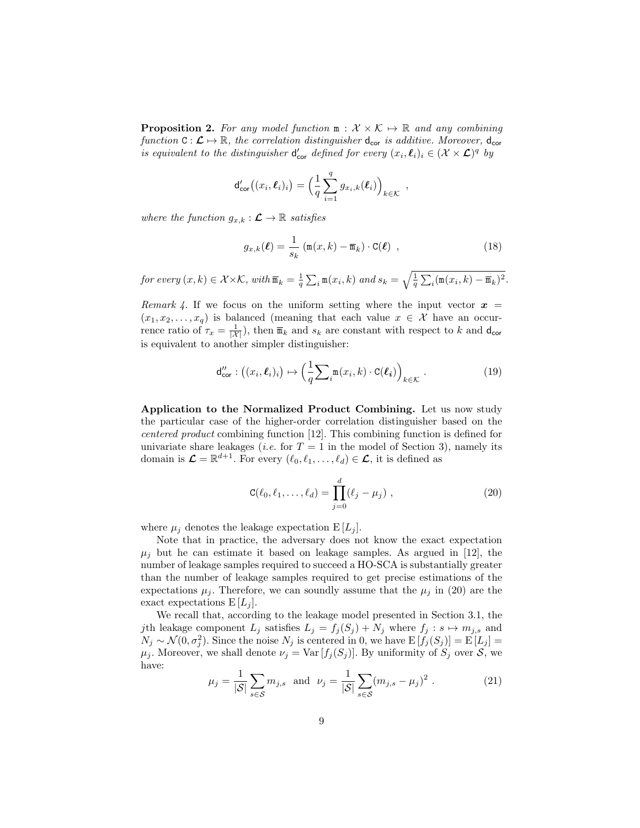**Proposition 2.** For any model function  $m : \mathcal{X} \times \mathcal{K} \mapsto \mathbb{R}$  and any combining function  $C: \mathcal{L} \mapsto \mathbb{R}$ , the correlation distinguisher  $d_{\text{cor}}$  is additive. Moreover,  $d_{\text{cor}}$ is equivalent to the distinguisher  $d'_{cor}$  defined for every  $(x_i, \ell_i)_i \in (X \times \mathcal{L})^q$  by

$$
\mathsf{d}_{\mathsf{cor}}'((x_i,\boldsymbol{\ell}_i)_i) = \Big(\frac{1}{q}\sum_{i=1}^q g_{x_i,k}(\boldsymbol{\ell}_i)\Big)_{k\in\mathcal{K}},
$$

where the function  $g_{x,k} : \mathcal{L} \to \mathbb{R}$  satisfies

$$
g_{x,k}(\ell) = \frac{1}{s_k} \left( \mathfrak{m}(x,k) - \overline{\mathfrak{m}}_k \right) \cdot \mathsf{C}(\ell) , \qquad (18)
$$

for every  $(x, k) \in \mathcal{X} \times \mathcal{K}$ , with  $\overline{\mathfrak{m}}_k = \frac{1}{q} \sum_i \mathfrak{m}(x_i, k)$  and  $s_k = \sqrt{\frac{1}{q} \sum_i (\mathfrak{m}(x_i, k) - \overline{\mathfrak{m}}_k)^2}$ .

Remark 4. If we focus on the uniform setting where the input vector  $x =$  $(x_1, x_2, \ldots, x_q)$  is balanced (meaning that each value  $x \in \mathcal{X}$  have an occurrence ratio of  $\tau_x = \frac{1}{|X|}$ , then  $\overline{\mathfrak{m}}_k$  and  $s_k$  are constant with respect to k and  $\mathsf{d}_{\mathsf{cor}}$ is equivalent to another simpler distinguisher:

$$
\mathsf{d}_{\mathsf{cor}}'' : ((x_i, \ell_i)_i) \mapsto \left(\frac{1}{q} \sum_i \mathfrak{m}(x_i, k) \cdot \mathtt{C}(\ell_i)\right)_{k \in \mathcal{K}}.\tag{19}
$$

Application to the Normalized Product Combining. Let us now study the particular case of the higher-order correlation distinguisher based on the centered product combining function [12]. This combining function is defined for univariate share leakages *(i.e.* for  $T = 1$  in the model of Section 3), namely its domain is  $\mathcal{L} = \mathbb{R}^{d+1}$ . For every  $(\ell_0, \ell_1, \ldots, \ell_d) \in \mathcal{L}$ , it is defined as

$$
C(\ell_0, \ell_1, ..., \ell_d) = \prod_{j=0}^d (\ell_j - \mu_j) , \qquad (20)
$$

where  $\mu_j$  denotes the leakage expectation  $E[L_j]$ .

Note that in practice, the adversary does not know the exact expectation  $\mu_i$  but he can estimate it based on leakage samples. As argued in [12], the number of leakage samples required to succeed a HO-SCA is substantially greater than the number of leakage samples required to get precise estimations of the expectations  $\mu_j$ . Therefore, we can soundly assume that the  $\mu_j$  in (20) are the exact expectations  $E[L_j]$ .

We recall that, according to the leakage model presented in Section 3.1, the jth leakage component  $L_j$  satisfies  $L_j = f_j(S_j) + N_j$  where  $f_j : s \mapsto m_{j,s}$  and  $N_j \sim \mathcal{N}(0, \sigma_j^2)$ . Since the noise  $N_j$  is centered in 0, we have  $E[f_j(S_j)] = E[L_j] =$  $\mu_j$ . Moreover, we shall denote  $\nu_j = \text{Var}[f_j(S_j)]$ . By uniformity of  $S_j$  over  $S$ , we have:

$$
\mu_j = \frac{1}{|S|} \sum_{s \in S} m_{j,s}
$$
 and  $\nu_j = \frac{1}{|S|} \sum_{s \in S} (m_{j,s} - \mu_j)^2$ . (21)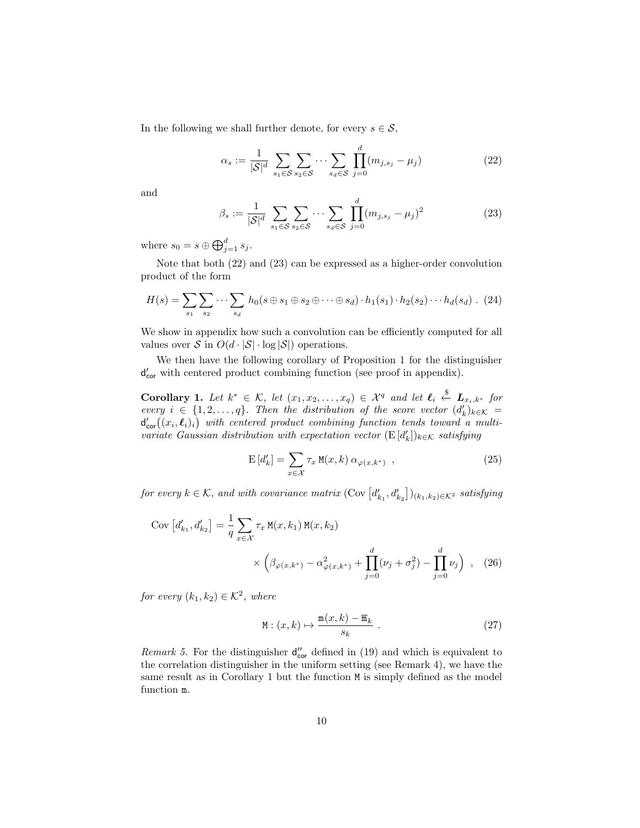In the following we shall further denote, for every  $s \in \mathcal{S}$ ,

$$
\alpha_s := \frac{1}{|\mathcal{S}|^d} \sum_{s_1 \in \mathcal{S}} \sum_{s_2 \in \mathcal{S}} \cdots \sum_{s_d \in \mathcal{S}} \prod_{j=0}^d (m_{j, s_j} - \mu_j)
$$
(22)

and

$$
\beta_s := \frac{1}{|\mathcal{S}|^d} \sum_{s_1 \in \mathcal{S}} \sum_{s_2 \in \mathcal{S}} \cdots \sum_{s_d \in \mathcal{S}} \prod_{j=0}^d (m_{j, s_j} - \mu_j)^2
$$
(23)

where  $s_0 = s \oplus \bigoplus_{j=1}^d s_j$ .

Note that both (22) and (23) can be expressed as a higher-order convolution product of the form

$$
H(s) = \sum_{s_1} \sum_{s_2} \cdots \sum_{s_d} h_0(s \oplus s_1 \oplus s_2 \oplus \cdots \oplus s_d) \cdot h_1(s_1) \cdot h_2(s_2) \cdots h_d(s_d) \quad (24)
$$

We show in appendix how such a convolution can be efficiently computed for all values over  $S$  in  $O(d \cdot |\mathcal{S}| \cdot \log |\mathcal{S}|)$  operations.

We then have the following corollary of Proposition 1 for the distinguisher d'<sub>cor</sub> with centered product combining function (see proof in appendix).

**Corollary 1.** Let  $k^* \in \mathcal{K}$ , let  $(x_1, x_2, \ldots, x_q) \in \mathcal{X}^q$  and let  $\ell_i \stackrel{\$}{\leftarrow} \mathbf{L}_{x_i, k^*}$  for every  $i \in \{1, 2, ..., q\}$ . Then the distribution of the score vector  $(d'_k)_{k \in \mathcal{K}} =$  ${\sf d}_{{\sf cor}}'((x_i,\boldsymbol{\ell}_i)_i)$  with centered product combining function tends toward a multivariate Gaussian distribution with expectation vector  $(\mathrm{E}\left[d_k'\right])_{k\in\mathcal{K}}$  satisfying

$$
\mathcal{E}\left[d'_{k}\right] = \sum_{x \in \mathcal{X}} \tau_{x} \mathbf{M}(x, k) \alpha_{\varphi(x, k^{*})}, \qquad (25)
$$

for every  $k \in \mathcal{K}$ , and with covariance matrix  $(\text{Cov}\left[d'_{k_1}, d'_{k_2}\right])_{(k_1,k_2)\in\mathcal{K}^2}$  satisfying

Cov 
$$
[d'_{k_1}, d'_{k_2}] = \frac{1}{q} \sum_{x \in \mathcal{X}} \tau_x M(x, k_1) M(x, k_2)
$$
  
 
$$
\times \left( \beta_{\varphi(x, k^*)} - \alpha_{\varphi(x, k^*)}^2 + \prod_{j=0}^d (\nu_j + \sigma_j^2) - \prod_{j=0}^d \nu_j \right) , \quad (26)
$$

for every  $(k_1, k_2) \in \mathcal{K}^2$ , where

$$
M: (x, k) \mapsto \frac{m(x, k) - \overline{m}_k}{s_k} .
$$
 (27)

Remark 5. For the distinguisher  $d''_{cor}$  defined in (19) and which is equivalent to the correlation distinguisher in the uniform setting (see Remark 4), we have the same result as in Corollary 1 but the function M is simply defined as the model function m.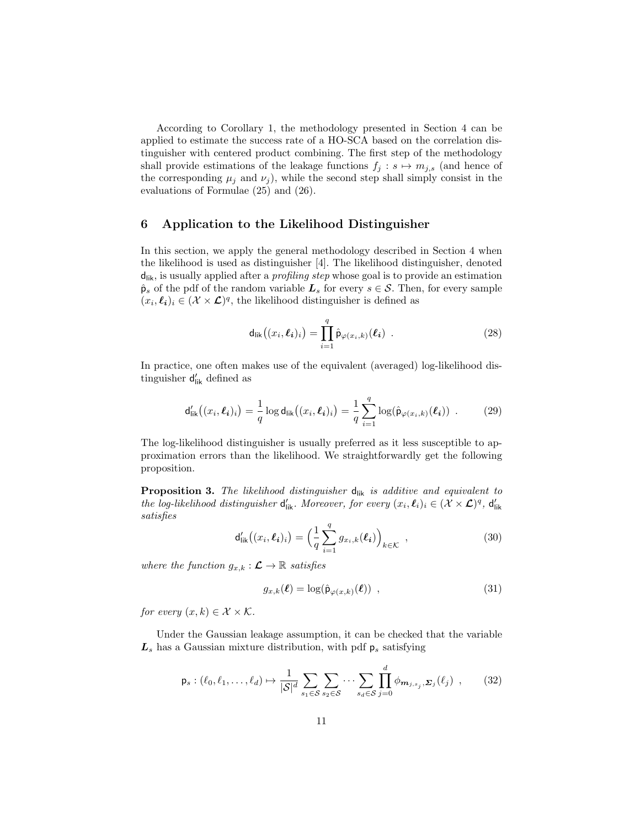According to Corollary 1, the methodology presented in Section 4 can be applied to estimate the success rate of a HO-SCA based on the correlation distinguisher with centered product combining. The first step of the methodology shall provide estimations of the leakage functions  $f_j : s \mapsto m_{j,s}$  (and hence of the corresponding  $\mu_i$  and  $\nu_i$ ), while the second step shall simply consist in the evaluations of Formulae (25) and (26).

# 6 Application to the Likelihood Distinguisher

In this section, we apply the general methodology described in Section 4 when the likelihood is used as distinguisher [4]. The likelihood distinguisher, denoted  $d_{\text{lik}}$ , is usually applied after a *profiling step* whose goal is to provide an estimation  $\hat{\mathbf{p}}_s$  of the pdf of the random variable  $\mathbf{L}_s$  for every  $s \in \mathcal{S}$ . Then, for every sample  $(x_i, \ell_i)_i \in (\mathcal{X} \times \mathcal{L})^q$ , the likelihood distinguisher is defined as

$$
\mathsf{d}_{\mathsf{lik}}\big((x_i,\boldsymbol{\ell_i})_i\big) = \prod_{i=1}^q \hat{\mathsf{p}}_{\varphi(x_i,k)}(\boldsymbol{\ell_i}) \ . \tag{28}
$$

In practice, one often makes use of the equivalent (averaged) log-likelihood distinguisher  $\mathsf{d}'_\mathsf{lik}$  defined as

$$
\mathsf{d}'_{\mathsf{lik}}\big((x_i,\boldsymbol{\ell_i})_i\big) = \frac{1}{q} \log \mathsf{d}_{\mathsf{lik}}\big((x_i,\boldsymbol{\ell_i})_i\big) = \frac{1}{q} \sum_{i=1}^q \log(\hat{\mathsf{p}}_{\varphi(x_i,k)}(\boldsymbol{\ell_i})) \ . \tag{29}
$$

The log-likelihood distinguisher is usually preferred as it less susceptible to approximation errors than the likelihood. We straightforwardly get the following proposition.

**Proposition 3.** The likelihood distinguisher  $d_{\text{lik}}$  is additive and equivalent to the log-likelihood distinguisher  $d'_{\text{lik}}$ . Moreover, for every  $(x_i, \ell_i)_i \in (\mathcal{X} \times \mathcal{L})^q$ ,  $d'_{\text{lik}}$ satisfies

$$
\mathsf{d}'_{\mathsf{lik}}\big((x_i,\boldsymbol{\ell_i})_i\big) = \Big(\frac{1}{q} \sum_{i=1}^q g_{x_i,k}(\boldsymbol{\ell_i})\Big)_{k \in \mathcal{K}} \,, \tag{30}
$$

where the function  $g_{x,k} : \mathcal{L} \to \mathbb{R}$  satisfies

$$
g_{x,k}(\ell) = \log(\hat{\mathsf{p}}_{\varphi(x,k)}(\ell)), \qquad (31)
$$

for every  $(x, k) \in \mathcal{X} \times \mathcal{K}$ .

Under the Gaussian leakage assumption, it can be checked that the variable  $L<sub>s</sub>$  has a Gaussian mixture distribution, with pdf  $p<sub>s</sub>$  satisfying

$$
\mathsf{p}_s: (\ell_0, \ell_1, \dots, \ell_d) \mapsto \frac{1}{|\mathcal{S}|^d} \sum_{s_1 \in \mathcal{S}} \sum_{s_2 \in \mathcal{S}} \dots \sum_{s_d \in \mathcal{S}} \prod_{j=0}^d \phi_{\mathbf{m}_{j, s_j}}, \Sigma_j(\ell_j) ,\qquad(32)
$$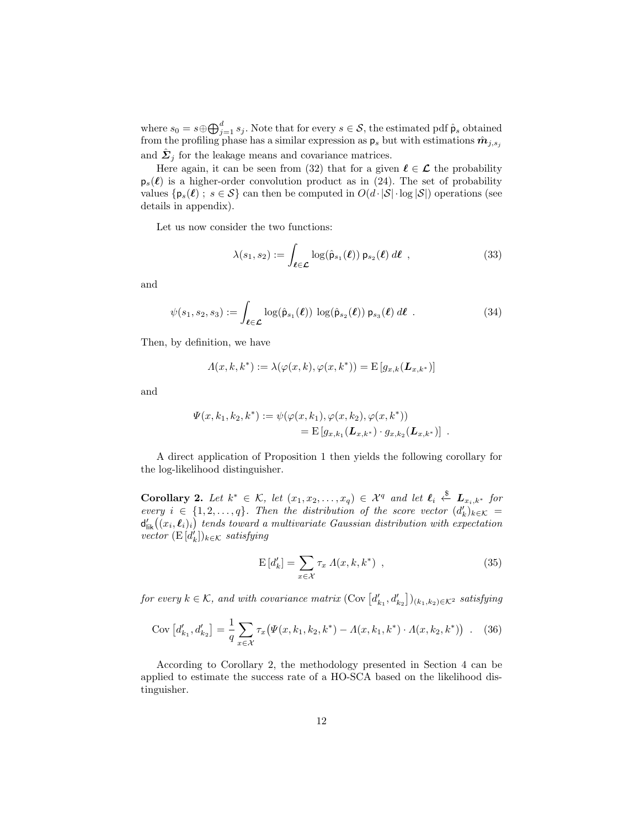where  $s_0 = s \oplus \bigoplus_{j=1}^d s_j$ . Note that for every  $s \in \mathcal{S}$ , the estimated pdf  $\hat{\mathsf{p}}_s$  obtained from the profiling phase has a similar expression as  $p_s$  but with estimations  $\hat{m}_{j,s_j}$ and  $\hat{\Sigma}_j$  for the leakage means and covariance matrices.

Here again, it can be seen from (32) that for a given  $\ell \in \mathcal{L}$  the probability  $p_s(\ell)$  is a higher-order convolution product as in (24). The set of probability values  $\{p_s(\ell) : s \in S\}$  can then be computed in  $O(d \cdot |\mathcal{S}| \cdot \log |\mathcal{S}|)$  operations (see details in appendix).

Let us now consider the two functions:

$$
\lambda(s_1, s_2) := \int_{\ell \in \mathcal{L}} \log(\hat{\mathsf{p}}_{s_1}(\ell)) \, \mathsf{p}_{s_2}(\ell) \, d\ell \tag{33}
$$

and

$$
\psi(s_1, s_2, s_3) := \int_{\ell \in \mathcal{L}} \log(\hat{\mathsf{p}}_{s_1}(\ell)) \, \log(\hat{\mathsf{p}}_{s_2}(\ell)) \, \mathsf{p}_{s_3}(\ell) \, d\ell \quad . \tag{34}
$$

Then, by definition, we have

$$
\Lambda(x,k,k^*) := \lambda(\varphi(x,k),\varphi(x,k^*)) = \mathbb{E}\left[g_{x,k}(\boldsymbol{L}_{x,k^*})\right]
$$

and

$$
\Psi(x, k_1, k_2, k^*) := \psi(\varphi(x, k_1), \varphi(x, k_2), \varphi(x, k^*)) \n= \mathbf{E}\left[g_{x, k_1}(\mathbf{L}_{x, k^*}) \cdot g_{x, k_2}(\mathbf{L}_{x, k^*})\right] .
$$

A direct application of Proposition 1 then yields the following corollary for the log-likelihood distinguisher.

**Corollary 2.** Let  $k^* \in \mathcal{K}$ , let  $(x_1, x_2, \ldots, x_q) \in \mathcal{X}^q$  and let  $\ell_i \stackrel{\$}{\leftarrow} \mathbf{L}_{x_i, k^*}$  for every  $i \in \{1, 2, ..., q\}$ . Then the distribution of the score vector  $(d'_k)_{k \in \mathcal{K}} =$  $d'_{\text{lik}}((x_i, \ell_i)_i)$  tends toward a multivariate Gaussian distribution with expectation  $\text{vector } (\mathrm{E}\left[d'_{k}\right])_{k\in\mathcal{K}} \text{ satisfying}$ 

$$
E\left[d'_k\right] = \sum_{x \in \mathcal{X}} \tau_x \Lambda(x, k, k^*) \quad , \tag{35}
$$

for every  $k \in \mathcal{K}$ , and with covariance matrix  $(\text{Cov}\left[d'_{k_1}, d'_{k_2}\right])_{(k_1,k_2)\in\mathcal{K}^2}$  satisfying

$$
Cov\left[d'_{k_1}, d'_{k_2}\right] = \frac{1}{q} \sum_{x \in \mathcal{X}} \tau_x \big(\Psi(x, k_1, k_2, k^*) - \Lambda(x, k_1, k^*) \cdot \Lambda(x, k_2, k^*)\big) \tag{36}
$$

According to Corollary 2, the methodology presented in Section 4 can be applied to estimate the success rate of a HO-SCA based on the likelihood distinguisher.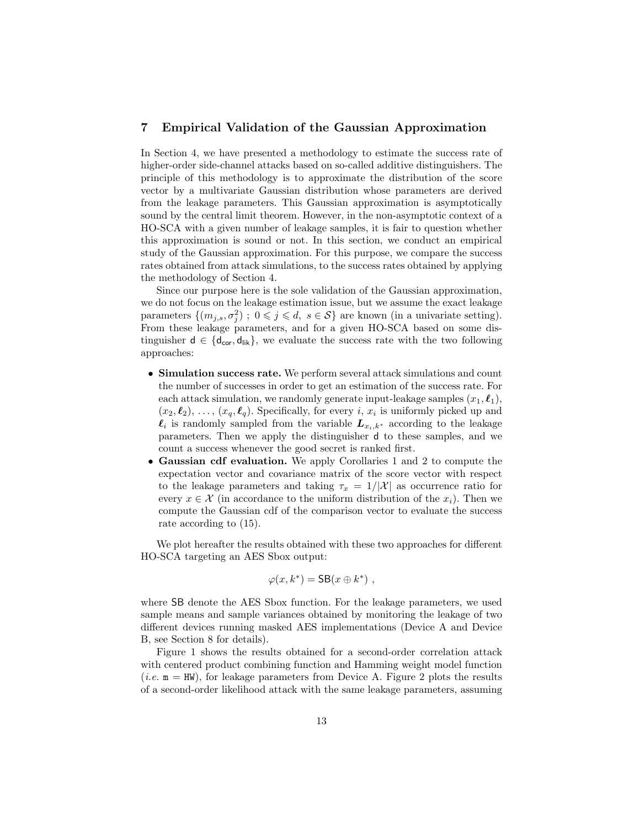# 7 Empirical Validation of the Gaussian Approximation

In Section 4, we have presented a methodology to estimate the success rate of higher-order side-channel attacks based on so-called additive distinguishers. The principle of this methodology is to approximate the distribution of the score vector by a multivariate Gaussian distribution whose parameters are derived from the leakage parameters. This Gaussian approximation is asymptotically sound by the central limit theorem. However, in the non-asymptotic context of a HO-SCA with a given number of leakage samples, it is fair to question whether this approximation is sound or not. In this section, we conduct an empirical study of the Gaussian approximation. For this purpose, we compare the success rates obtained from attack simulations, to the success rates obtained by applying the methodology of Section 4.

Since our purpose here is the sole validation of the Gaussian approximation, we do not focus on the leakage estimation issue, but we assume the exact leakage parameters  $\{(m_{j,s}, \sigma_j^2) ; 0 \leqslant j \leqslant d, s \in S\}$  are known (in a univariate setting). From these leakage parameters, and for a given HO-SCA based on some distinguisher  $d \in \{d_{\text{cor}}, d_{\text{lik}}\}$ , we evaluate the success rate with the two following approaches:

- Simulation success rate. We perform several attack simulations and count the number of successes in order to get an estimation of the success rate. For each attack simulation, we randomly generate input-leakage samples  $(x_1, \ell_1)$ ,  $(x_2, \ell_2), \ldots, (x_q, \ell_q)$ . Specifically, for every i,  $x_i$  is uniformly picked up and  $\ell_i$  is randomly sampled from the variable  $L_{x_i,k^*}$  according to the leakage parameters. Then we apply the distinguisher d to these samples, and we count a success whenever the good secret is ranked first.
- Gaussian cdf evaluation. We apply Corollaries 1 and 2 to compute the expectation vector and covariance matrix of the score vector with respect to the leakage parameters and taking  $\tau_x = 1/|\mathcal{X}|$  as occurrence ratio for every  $x \in \mathcal{X}$  (in accordance to the uniform distribution of the  $x_i$ ). Then we compute the Gaussian cdf of the comparison vector to evaluate the success rate according to (15).

We plot hereafter the results obtained with these two approaches for different HO-SCA targeting an AES Sbox output:

$$
\varphi(x,k^*) = \mathsf{SB}(x \oplus k^*) ,
$$

where SB denote the AES Sbox function. For the leakage parameters, we used sample means and sample variances obtained by monitoring the leakage of two different devices running masked AES implementations (Device A and Device B, see Section 8 for details).

Figure 1 shows the results obtained for a second-order correlation attack with centered product combining function and Hamming weight model function (*i.e.*  $m = HW$ ), for leakage parameters from Device A. Figure 2 plots the results of a second-order likelihood attack with the same leakage parameters, assuming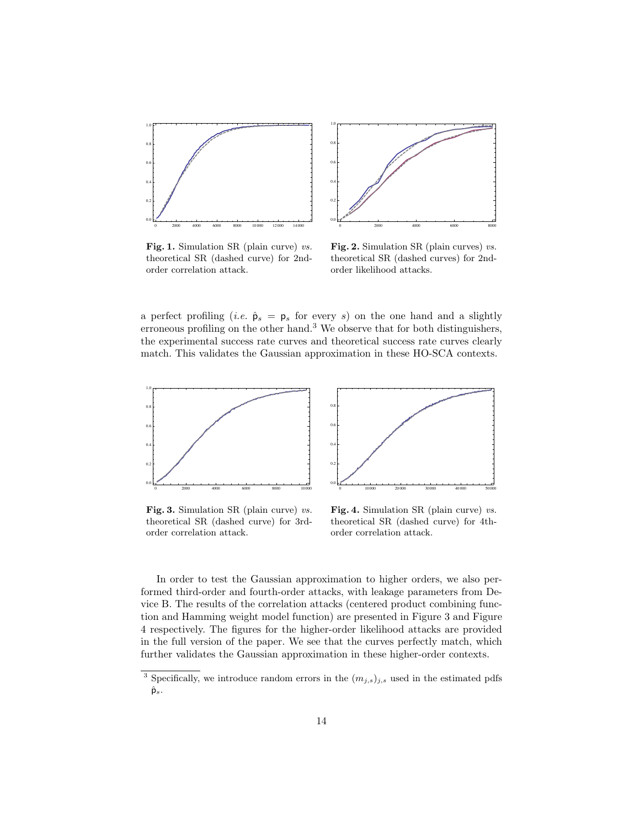

Fig. 1. Simulation SR (plain curve) vs. theoretical SR (dashed curve) for 2ndorder correlation attack.

Fig. 2. Simulation SR (plain curves) vs. theoretical SR (dashed curves) for 2ndorder likelihood attacks.

a perfect profiling (*i.e.*  $\hat{\mathsf{p}}_s = \mathsf{p}_s$  for every s) on the one hand and a slightly erroneous profiling on the other hand.<sup>3</sup> We observe that for both distinguishers, the experimental success rate curves and theoretical success rate curves clearly match. This validates the Gaussian approximation in these HO-SCA contexts.



Fig. 3. Simulation SR (plain curve) vs. theoretical SR (dashed curve) for 3rdorder correlation attack.



Fig. 4. Simulation SR (plain curve) vs. theoretical SR (dashed curve) for 4thorder correlation attack.

In order to test the Gaussian approximation to higher orders, we also performed third-order and fourth-order attacks, with leakage parameters from Device B. The results of the correlation attacks (centered product combining function and Hamming weight model function) are presented in Figure 3 and Figure 4 respectively. The figures for the higher-order likelihood attacks are provided in the full version of the paper. We see that the curves perfectly match, which further validates the Gaussian approximation in these higher-order contexts.

<sup>&</sup>lt;sup>3</sup> Specifically, we introduce random errors in the  $(m_{j,s})_{j,s}$  used in the estimated pdfs  $\hat{\mathsf{p}}_s$ .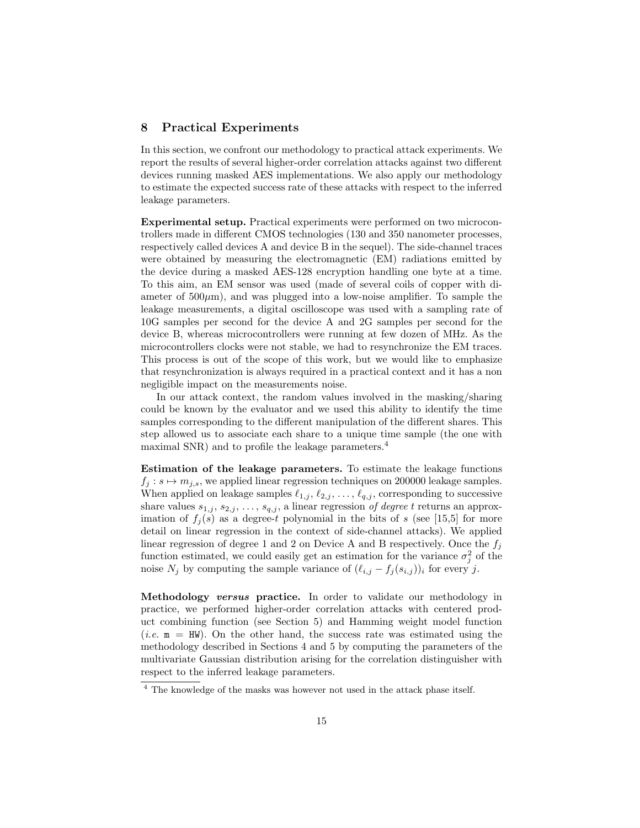# 8 Practical Experiments

In this section, we confront our methodology to practical attack experiments. We report the results of several higher-order correlation attacks against two different devices running masked AES implementations. We also apply our methodology to estimate the expected success rate of these attacks with respect to the inferred leakage parameters.

Experimental setup. Practical experiments were performed on two microcontrollers made in different CMOS technologies (130 and 350 nanometer processes, respectively called devices A and device B in the sequel). The side-channel traces were obtained by measuring the electromagnetic (EM) radiations emitted by the device during a masked AES-128 encryption handling one byte at a time. To this aim, an EM sensor was used (made of several coils of copper with diameter of  $500\mu$ m), and was plugged into a low-noise amplifier. To sample the leakage measurements, a digital oscilloscope was used with a sampling rate of 10G samples per second for the device A and 2G samples per second for the device B, whereas microcontrollers were running at few dozen of MHz. As the microcontrollers clocks were not stable, we had to resynchronize the EM traces. This process is out of the scope of this work, but we would like to emphasize that resynchronization is always required in a practical context and it has a non negligible impact on the measurements noise.

In our attack context, the random values involved in the masking/sharing could be known by the evaluator and we used this ability to identify the time samples corresponding to the different manipulation of the different shares. This step allowed us to associate each share to a unique time sample (the one with maximal SNR) and to profile the leakage parameters.<sup>4</sup>

Estimation of the leakage parameters. To estimate the leakage functions  $f_j : s \mapsto m_{j,s}$ , we applied linear regression techniques on 200000 leakage samples. When applied on leakage samples  $\ell_{1,j}$ ,  $\ell_{2,j}$ , ...,  $\ell_{q,j}$ , corresponding to successive share values  $s_{1,j}$ ,  $s_{2,j}$ , ...,  $s_{q,j}$ , a linear regression of degree t returns an approximation of  $f_i(s)$  as a degree-t polynomial in the bits of s (see [15,5] for more detail on linear regression in the context of side-channel attacks). We applied linear regression of degree 1 and 2 on Device A and B respectively. Once the  $f_j$ function estimated, we could easily get an estimation for the variance  $\sigma_j^2$  of the noise  $N_j$  by computing the sample variance of  $(\ell_{i,j} - f_j (s_{i,j}))_i$  for every j.

Methodology versus practice. In order to validate our methodology in practice, we performed higher-order correlation attacks with centered product combining function (see Section 5) and Hamming weight model function (*i.e.*  $m = HW$ ). On the other hand, the success rate was estimated using the methodology described in Sections 4 and 5 by computing the parameters of the multivariate Gaussian distribution arising for the correlation distinguisher with respect to the inferred leakage parameters.

<sup>4</sup> The knowledge of the masks was however not used in the attack phase itself.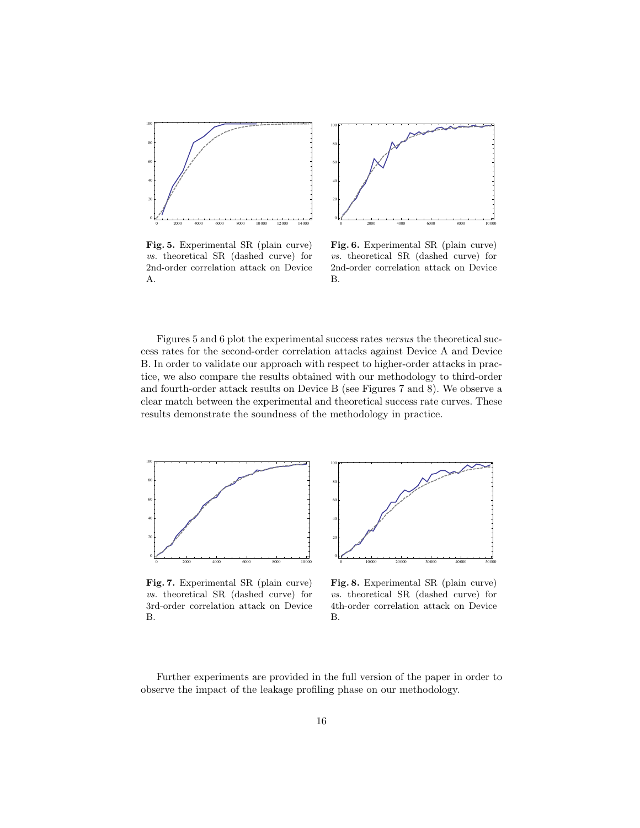



Fig. 5. Experimental SR (plain curve) vs. theoretical SR (dashed curve) for 2nd-order correlation attack on Device A.

Fig. 6. Experimental SR (plain curve) vs. theoretical SR (dashed curve) for 2nd-order correlation attack on Device B.

Figures 5 and 6 plot the experimental success rates versus the theoretical success rates for the second-order correlation attacks against Device A and Device B. In order to validate our approach with respect to higher-order attacks in practice, we also compare the results obtained with our methodology to third-order and fourth-order attack results on Device B (see Figures 7 and 8). We observe a clear match between the experimental and theoretical success rate curves. These results demonstrate the soundness of the methodology in practice.



0 10 000 20 000 30 000 40 000 50 000  $\bf{0}$ 20 40 60 80 100

Fig. 7. Experimental SR (plain curve) vs. theoretical SR (dashed curve) for 3rd-order correlation attack on Device B.

Fig. 8. Experimental SR (plain curve) vs. theoretical SR (dashed curve) for 4th-order correlation attack on Device B.

Further experiments are provided in the full version of the paper in order to observe the impact of the leakage profiling phase on our methodology.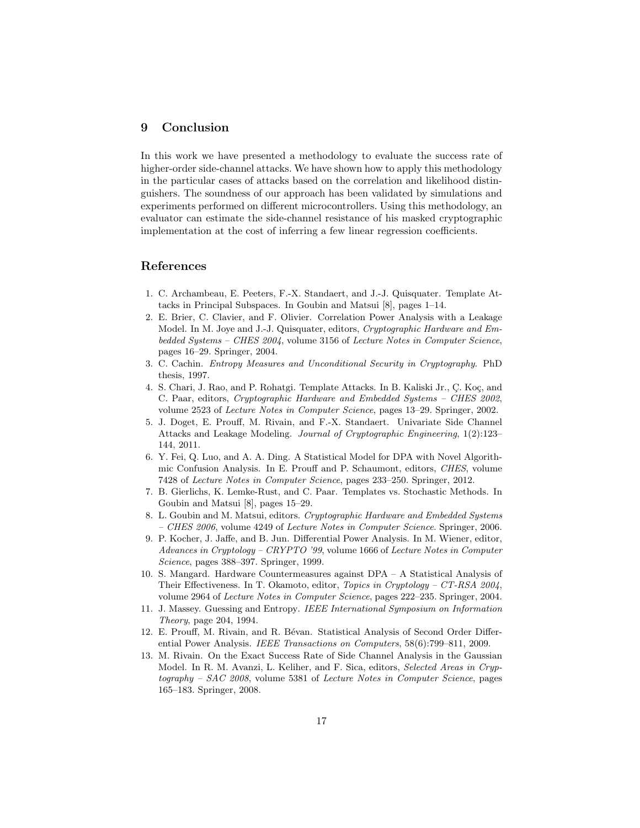# 9 Conclusion

In this work we have presented a methodology to evaluate the success rate of higher-order side-channel attacks. We have shown how to apply this methodology in the particular cases of attacks based on the correlation and likelihood distinguishers. The soundness of our approach has been validated by simulations and experiments performed on different microcontrollers. Using this methodology, an evaluator can estimate the side-channel resistance of his masked cryptographic implementation at the cost of inferring a few linear regression coefficients.

# References

- 1. C. Archambeau, E. Peeters, F.-X. Standaert, and J.-J. Quisquater. Template Attacks in Principal Subspaces. In Goubin and Matsui [8], pages 1–14.
- 2. E. Brier, C. Clavier, and F. Olivier. Correlation Power Analysis with a Leakage Model. In M. Joye and J.-J. Quisquater, editors, Cryptographic Hardware and Embedded Systems – CHES 2004, volume 3156 of Lecture Notes in Computer Science, pages 16–29. Springer, 2004.
- 3. C. Cachin. Entropy Measures and Unconditional Security in Cryptography. PhD thesis, 1997.
- 4. S. Chari, J. Rao, and P. Rohatgi. Template Attacks. In B. Kaliski Jr., C. Koç, and C. Paar, editors, Cryptographic Hardware and Embedded Systems – CHES 2002, volume 2523 of Lecture Notes in Computer Science, pages 13–29. Springer, 2002.
- 5. J. Doget, E. Prouff, M. Rivain, and F.-X. Standaert. Univariate Side Channel Attacks and Leakage Modeling. Journal of Cryptographic Engineering, 1(2):123– 144, 2011.
- 6. Y. Fei, Q. Luo, and A. A. Ding. A Statistical Model for DPA with Novel Algorithmic Confusion Analysis. In E. Prouff and P. Schaumont, editors, CHES, volume 7428 of Lecture Notes in Computer Science, pages 233–250. Springer, 2012.
- 7. B. Gierlichs, K. Lemke-Rust, and C. Paar. Templates vs. Stochastic Methods. In Goubin and Matsui [8], pages 15–29.
- 8. L. Goubin and M. Matsui, editors. Cryptographic Hardware and Embedded Systems – CHES 2006, volume 4249 of Lecture Notes in Computer Science. Springer, 2006.
- 9. P. Kocher, J. Jaffe, and B. Jun. Differential Power Analysis. In M. Wiener, editor, Advances in Cryptology – CRYPTO '99, volume 1666 of Lecture Notes in Computer Science, pages 388–397. Springer, 1999.
- 10. S. Mangard. Hardware Countermeasures against DPA A Statistical Analysis of Their Effectiveness. In T. Okamoto, editor, Topics in Cryptology – CT-RSA 2004, volume 2964 of Lecture Notes in Computer Science, pages 222–235. Springer, 2004.
- 11. J. Massey. Guessing and Entropy. IEEE International Symposium on Information Theory, page 204, 1994.
- 12. E. Prouff, M. Rivain, and R. Bévan. Statistical Analysis of Second Order Differential Power Analysis. IEEE Transactions on Computers, 58(6):799–811, 2009.
- 13. M. Rivain. On the Exact Success Rate of Side Channel Analysis in the Gaussian Model. In R. M. Avanzi, L. Keliher, and F. Sica, editors, Selected Areas in Cryp $tography - SAC$  2008, volume 5381 of *Lecture Notes in Computer Science*, pages 165–183. Springer, 2008.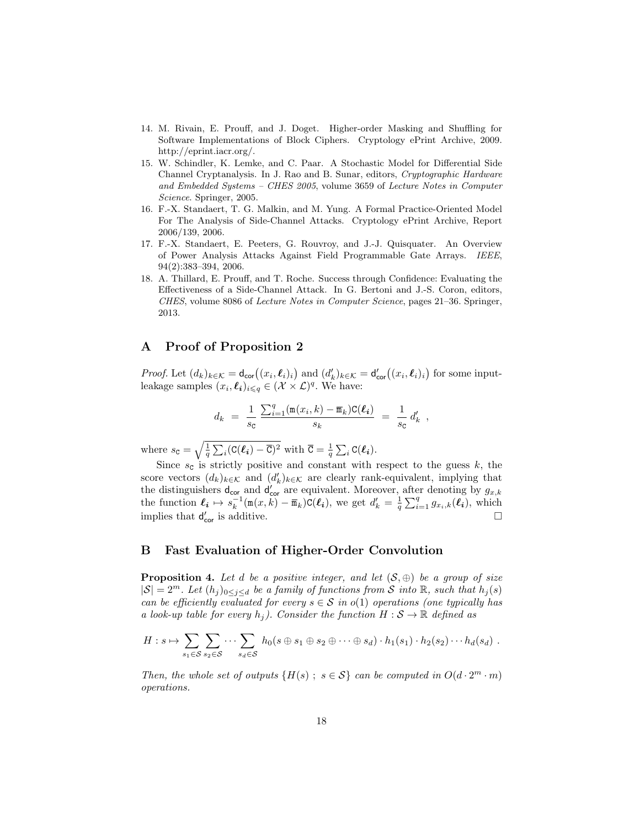- 14. M. Rivain, E. Prouff, and J. Doget. Higher-order Masking and Shuffling for Software Implementations of Block Ciphers. Cryptology ePrint Archive, 2009. http://eprint.iacr.org/.
- 15. W. Schindler, K. Lemke, and C. Paar. A Stochastic Model for Differential Side Channel Cryptanalysis. In J. Rao and B. Sunar, editors, Cryptographic Hardware and Embedded Systems – CHES 2005, volume 3659 of Lecture Notes in Computer Science. Springer, 2005.
- 16. F.-X. Standaert, T. G. Malkin, and M. Yung. A Formal Practice-Oriented Model For The Analysis of Side-Channel Attacks. Cryptology ePrint Archive, Report 2006/139, 2006.
- 17. F.-X. Standaert, E. Peeters, G. Rouvroy, and J.-J. Quisquater. An Overview of Power Analysis Attacks Against Field Programmable Gate Arrays. IEEE, 94(2):383–394, 2006.
- 18. A. Thillard, E. Prouff, and T. Roche. Success through Confidence: Evaluating the Effectiveness of a Side-Channel Attack. In G. Bertoni and J.-S. Coron, editors, CHES, volume 8086 of Lecture Notes in Computer Science, pages 21–36. Springer, 2013.

### A Proof of Proposition 2

*Proof.* Let  $(d_k)_{k \in \mathcal{K}} = d_{\text{cor}}((x_i, \ell_i)_i)$  and  $(d'_k)_{k \in \mathcal{K}} = d'_{\text{cor}}((x_i, \ell_i)_i)$  for some inputleakage samples  $(x_i, \ell_i)_{i \leq q} \in (\mathcal{X} \times \mathcal{L})^q$ . We have:

$$
d_k = \frac{1}{s_{\rm C}} \frac{\sum_{i=1}^{q} (\mathbf{m}(x_i, k) - \overline{\mathbf{m}}_k) \mathbf{C}(\ell_i)}{s_k} = \frac{1}{s_{\rm C}} d'_k,
$$

where  $s_{\mathbf{C}} = \sqrt{\frac{1}{q} \sum_i (\mathbf{C}(\ell_i) - \overline{\mathbf{C}})^2}$  with  $\overline{\mathbf{C}} = \frac{1}{q} \sum_i \mathbf{C}(\ell_i)$ .

Since  $s_c$  is strictly positive and constant with respect to the guess k, the score vectors  $(d_k)_{k \in \mathcal{K}}$  and  $(d'_k)_{k \in \mathcal{K}}$  are clearly rank-equivalent, implying that score vectors  $(u_k)_{k \in K}$  and  $(u_k)_{k \in K}$  are clearly rains-equivalent, implying that the distinguishers  $d_{\text{cor}}$  and  $d'_{\text{cor}}$  are equivalent. Moreover, after denoting by  $g_{x,k}$ the function  $\ell_i \mapsto s_k^{-1}(\mathfrak{m}(x, \vec{k}) - \overline{\mathfrak{m}}_k)C(\ell_i)$ , we get  $d'_k = \frac{1}{q} \sum_{i=1}^q g_{x_i,k}(\ell_i)$ , which implies that  $d'$  $\frac{1}{\text{cor}}$  is additive.

# B Fast Evaluation of Higher-Order Convolution

**Proposition 4.** Let d be a positive integer, and let  $(S, \oplus)$  be a group of size  $|S| = 2^m$ . Let  $(h_j)_{0 \leq j \leq d}$  be a family of functions from S into R, such that  $h_j(s)$ can be efficiently evaluated for every  $s \in S$  in  $o(1)$  operations (one typically has a look-up table for every  $h_i$ ). Consider the function  $H : \mathcal{S} \to \mathbb{R}$  defined as

$$
H: s \mapsto \sum_{s_1 \in S} \sum_{s_2 \in S} \cdots \sum_{s_d \in S} h_0(s \oplus s_1 \oplus s_2 \oplus \cdots \oplus s_d) \cdot h_1(s_1) \cdot h_2(s_2) \cdots h_d(s_d) .
$$

Then, the whole set of outputs  $\{H(s) ; s \in S\}$  can be computed in  $O(d \cdot 2^m \cdot m)$ operations.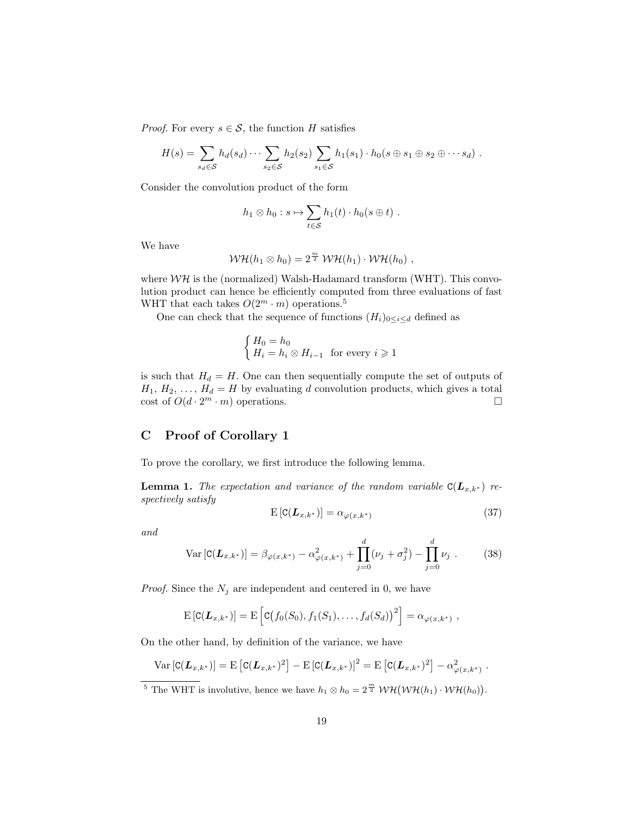*Proof.* For every  $s \in \mathcal{S}$ , the function H satisfies

$$
H(s) = \sum_{s_d \in S} h_d(s_d) \cdots \sum_{s_2 \in S} h_2(s_2) \sum_{s_1 \in S} h_1(s_1) \cdot h_0(s \oplus s_1 \oplus s_2 \oplus \cdots s_d).
$$

Consider the convolution product of the form

$$
h_1 \otimes h_0 : s \mapsto \sum_{t \in S} h_1(t) \cdot h_0(s \oplus t) .
$$

We have

$$
W\mathcal{H}(h_1\otimes h_0)=2^{\frac{m}{2}} W\mathcal{H}(h_1)\cdot W\mathcal{H}(h_0),
$$

where  $W\mathcal{H}$  is the (normalized) Walsh-Hadamard transform (WHT). This convolution product can hence be efficiently computed from three evaluations of fast WHT that each takes  $O(2^m \cdot m)$  operations.<sup>5</sup>

One can check that the sequence of functions  $(H_i)_{0 \leq i \leq d}$  defined as

$$
\begin{cases} H_0 = h_0 \\ H_i = h_i \otimes H_{i-1} \end{cases}
$$
 for every  $i \ge 1$ 

is such that  $H_d = H$ . One can then sequentially compute the set of outputs of  $H_1, H_2, \ldots, H_d = H$  by evaluating d convolution products, which gives a total  $\cot$  of  $O(d \cdot 2^m \cdot m)$  operations.

# C Proof of Corollary 1

To prove the corollary, we first introduce the following lemma.

**Lemma 1.** The expectation and variance of the random variable  $C(L_{x,k^*})$  respectively satisfy

$$
E\left[C(\boldsymbol{L}_{x,k^*})\right] = \alpha_{\varphi(x,k^*)} \tag{37}
$$

and

$$
\text{Var}\left[\mathbf{C}(\mathbf{L}_{x,k^*})\right] = \beta_{\varphi(x,k^*)} - \alpha_{\varphi(x,k^*)}^2 + \prod_{j=0}^d (\nu_j + \sigma_j^2) - \prod_{j=0}^d \nu_j \tag{38}
$$

*Proof.* Since the  $N_j$  are independent and centered in 0, we have

$$
\mathrm{E}\left[\mathrm{C}(\boldsymbol{L}_{x,k^*})\right] = \mathrm{E}\left[\mathrm{C}\big(f_0(S_0), f_1(S_1), \ldots, f_d(S_d)\big)^2\right] = \alpha_{\varphi(x,k^*)},
$$

On the other hand, by definition of the variance, we have

$$
Var[C(\mathbf{L}_{x,k^*})] = E[C(\mathbf{L}_{x,k^*})^2] - E[C(\mathbf{L}_{x,k^*})]^2 = E[C(\mathbf{L}_{x,k^*})^2] - \alpha_{\varphi(x,k^*)}^2.
$$

<sup>5</sup> The WHT is involutive, hence we have  $h_1 \otimes h_0 = 2^{\frac{m}{2}} W H(WH(h_1) \cdot WH(h_0)).$